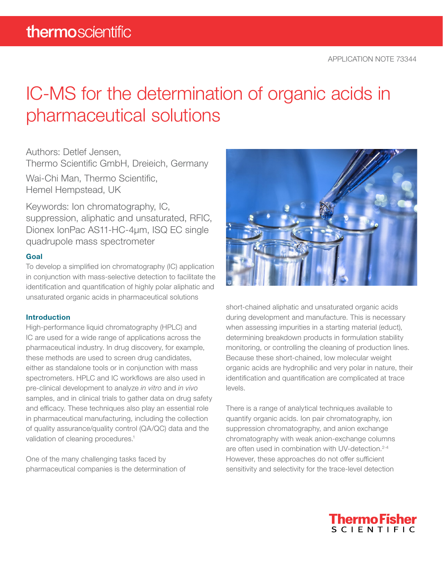# IC-MS for the determination of organic acids in pharmaceutical solutions

Authors: Detlef Jensen,

Thermo Scientific GmbH, Dreieich, Germany

Wai-Chi Man, Thermo Scientific, Hemel Hempstead, UK

Keywords: Ion chromatography, IC, suppression, aliphatic and unsaturated, RFIC, Dionex IonPac AS11-HC-4µm, ISQ EC single quadrupole mass spectrometer

# Goal

To develop a simplified ion chromatography (IC) application in conjunction with mass-selective detection to facilitate the identification and quantification of highly polar aliphatic and unsaturated organic acids in pharmaceutical solutions

# Introduction

High-performance liquid chromatography (HPLC) and IC are used for a wide range of applications across the pharmaceutical industry. In drug discovery, for example, these methods are used to screen drug candidates, either as standalone tools or in conjunction with mass spectrometers. HPLC and IC workflows are also used in pre-clinical development to analyze *in vitro* and *in vivo* samples, and in clinical trials to gather data on drug safety and efficacy. These techniques also play an essential role in pharmaceutical manufacturing, including the collection of quality assurance/quality control (QA/QC) data and the validation of cleaning procedures.<sup>1</sup>

One of the many challenging tasks faced by pharmaceutical companies is the determination of



short-chained aliphatic and unsaturated organic acids during development and manufacture. This is necessary when assessing impurities in a starting material (educt), determining breakdown products in formulation stability monitoring, or controlling the cleaning of production lines. Because these short-chained, low molecular weight organic acids are hydrophilic and very polar in nature, their identification and quantification are complicated at trace levels.

There is a range of analytical techniques available to quantify organic acids. Ion pair chromatography, ion suppression chromatography, and anion exchange chromatography with weak anion-exchange columns are often used in combination with UV-detection.<sup>2-4</sup> However, these approaches do not offer sufficient sensitivity and selectivity for the trace-level detection

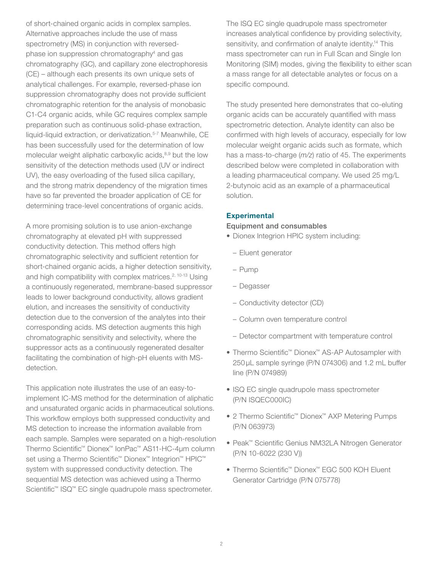of short-chained organic acids in complex samples. Alternative approaches include the use of mass spectrometry (MS) in conjunction with reversedphase ion suppression chromatography4 and gas chromatography (GC), and capillary zone electrophoresis (CE) – although each presents its own unique sets of analytical challenges. For example, reversed-phase ion suppression chromatography does not provide sufficient chromatographic retention for the analysis of monobasic C1-C4 organic acids, while GC requires complex sample preparation such as continuous solid-phase extraction, liquid-liquid extraction, or derivatization.<sup>5-7</sup> Meanwhile, CE has been successfully used for the determination of low molecular weight aliphatic carboxylic acids,<sup>8,9</sup> but the low sensitivity of the detection methods used (UV or indirect UV), the easy overloading of the fused silica capillary, and the strong matrix dependency of the migration times have so far prevented the broader application of CE for determining trace-level concentrations of organic acids.

A more promising solution is to use anion-exchange chromatography at elevated pH with suppressed conductivity detection. This method offers high chromatographic selectivity and sufficient retention for short-chained organic acids, a higher detection sensitivity, and high compatibility with complex matrices.<sup>2, 10-13</sup> Using a continuously regenerated, membrane-based suppressor leads to lower background conductivity, allows gradient elution, and increases the sensitivity of conductivity detection due to the conversion of the analytes into their corresponding acids. MS detection augments this high chromatographic sensitivity and selectivity, where the suppressor acts as a continuously regenerated desalter facilitating the combination of high-pH eluents with MSdetection.

This application note illustrates the use of an easy-toimplement IC-MS method for the determination of aliphatic and unsaturated organic acids in pharmaceutical solutions. This workflow employs both suppressed conductivity and MS detection to increase the information available from each sample. Samples were separated on a high-resolution Thermo Scientific™ Dionex™ IonPac™ AS11-HC-4µm column set using a Thermo Scientific™ Dionex™ Integrion™ HPIC™ system with suppressed conductivity detection. The sequential MS detection was achieved using a Thermo Scientific<sup>™</sup> ISQ<sup>™</sup> EC single quadrupole mass spectrometer.

The ISQ EC single quadrupole mass spectrometer increases analytical confidence by providing selectivity, sensitivity, and confirmation of analyte identity.<sup>14</sup> This mass spectrometer can run in Full Scan and Single Ion Monitoring (SIM) modes, giving the flexibility to either scan a mass range for all detectable analytes or focus on a specific compound.

The study presented here demonstrates that co-eluting organic acids can be accurately quantified with mass spectrometric detection. Analyte identity can also be confirmed with high levels of accuracy, especially for low molecular weight organic acids such as formate, which has a mass-to-charge (*m/z*) ratio of 45. The experiments described below were completed in collaboration with a leading pharmaceutical company. We used 25 mg/L 2-butynoic acid as an example of a pharmaceutical solution.

# **Experimental**

### Equipment and consumables

- Dionex Integrion HPIC system including:
	- Eluent generator
	- Pump
	- Degasser
	- Conductivity detector (CD)
	- Column oven temperature control
	- Detector compartment with temperature control
- Thermo Scientific™ Dionex™ AS-AP Autosampler with 250 µL sample syringe (P/N 074306) and 1.2 mL buffer line (P/N 074989)
- ISQ EC single quadrupole mass spectrometer (P/N ISQEC000IC)
- 2 Thermo Scientific™ Dionex™ AXP Metering Pumps (P/N 063973)
- Peak™ Scientific Genius NM32LA Nitrogen Generator (P/N 10-6022 (230 V))
- Thermo Scientific™ Dionex™ EGC 500 KOH Eluent Generator Cartridge (P/N 075778)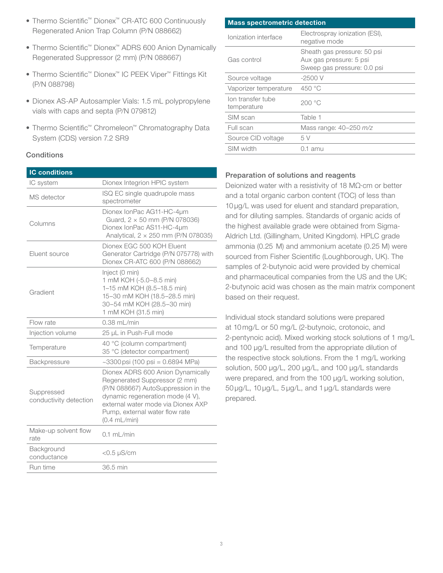- Thermo Scientific™ Dionex™ CR-ATC 600 Continuously Regenerated Anion Trap Column (P/N 088662)
- Thermo Scientific™ Dionex™ ADRS 600 Anion Dynamically Regenerated Suppressor (2 mm) (P/N 088667)
- Thermo Scientific™ Dionex™ IC PEEK Viper™ Fittings Kit (P/N 088798)
- Dionex AS-AP Autosampler Vials: 1.5 mL polypropylene vials with caps and septa (P/N 079812)
- Thermo Scientific™ Chromeleon™ Chromatography Data System (CDS) version 7.2 SR9

# **Conditions**

| <b>IC conditions</b>                 |                                                                                                                                                                                                                                       |
|--------------------------------------|---------------------------------------------------------------------------------------------------------------------------------------------------------------------------------------------------------------------------------------|
| IC system                            | Dionex Integrion HPIC system                                                                                                                                                                                                          |
| MS detector                          | ISQ EC single quadrupole mass<br>spectrometer                                                                                                                                                                                         |
| Columns                              | Dionex IonPac AG11-HC-4µm<br>Guard, 2 × 50 mm (P/N 078036)<br>Dionex IonPac AS11-HC-4µm<br>Analytical, 2 x 250 mm (P/N 078035)                                                                                                        |
| Eluent source                        | Dionex EGC 500 KOH Eluent<br>Generator Cartridge (P/N 075778) with<br>Dionex CR-ATC 600 (P/N 088662)                                                                                                                                  |
| Gradient                             | Inject (0 min)<br>1 mM KOH (-5.0-8.5 min)<br>1-15 mM KOH (8.5-18.5 min)<br>15-30 mM KOH (18.5-28.5 min)<br>30-54 mM KOH (28.5-30 min)<br>1 mM KOH (31.5 min)                                                                          |
| Flow rate                            | $0.38$ mL/min                                                                                                                                                                                                                         |
| Injection volume                     | 25 µL in Push-Full mode                                                                                                                                                                                                               |
| Temperature                          | 40 °C (column compartment)<br>35 °C (detector compartment)                                                                                                                                                                            |
| Backpressure                         | $\sim$ 3300 psi (100 psi = 0.6894 MPa)                                                                                                                                                                                                |
| Suppressed<br>conductivity detection | Dionex ADRS 600 Anion Dynamically<br>Regenerated Suppressor (2 mm)<br>(P/N 088667) AutoSuppression in the<br>dynamic regeneration mode (4 V),<br>external water mode via Dionex AXP<br>Pump, external water flow rate<br>(0.4 mL/min) |
| Make-up solvent flow<br>rate         | $0.1$ ml /min                                                                                                                                                                                                                         |
| Background<br>conductance            | $<$ 0.5 $\mu$ S/cm                                                                                                                                                                                                                    |
| Run time                             | 36.5 min                                                                                                                                                                                                                              |

| <b>Mass spectrometric detection</b> |                                                                                       |  |  |  |  |  |
|-------------------------------------|---------------------------------------------------------------------------------------|--|--|--|--|--|
| Ionization interface                | Electrospray ionization (ESI),<br>negative mode                                       |  |  |  |  |  |
| Gas control                         | Sheath gas pressure: 50 psi<br>Aux gas pressure: 5 psi<br>Sweep gas pressure: 0.0 psi |  |  |  |  |  |
| Source voltage                      | $-2500V$                                                                              |  |  |  |  |  |
| Vaporizer temperature               | 450 °C                                                                                |  |  |  |  |  |
| Ion transfer tube<br>temperature    | 200°C                                                                                 |  |  |  |  |  |
| SIM scan                            | Table 1                                                                               |  |  |  |  |  |
| Full scan                           | Mass range: 40-250 m/z                                                                |  |  |  |  |  |
| Source CID voltage                  | 5 V                                                                                   |  |  |  |  |  |
| SIM width                           | 0.1 amu                                                                               |  |  |  |  |  |

# Preparation of solutions and reagents

Deionized water with a resistivity of 18 MΩ·cm or better and a total organic carbon content (TOC) of less than 10 µg/L was used for eluent and standard preparation, and for diluting samples. Standards of organic acids of the highest available grade were obtained from Sigma-Aldrich Ltd. (Gillingham, United Kingdom). HPLC grade ammonia (0.25 M) and ammonium acetate (0.25 M) were sourced from Fisher Scientific (Loughborough, UK). The samples of 2-butynoic acid were provided by chemical and pharmaceutical companies from the US and the UK; 2-butynoic acid was chosen as the main matrix component based on their request.

Individual stock standard solutions were prepared at 10 mg/L or 50 mg/L (2-butynoic, crotonoic, and 2-pentynoic acid). Mixed working stock solutions of 1 mg/L and 100 µg/L resulted from the appropriate dilution of the respective stock solutions. From the 1 mg/L working solution, 500 µg/L, 200 µg/L, and 100 µg/L standards were prepared, and from the 100 µg/L working solution, 50 µg/L, 10 µg/L, 5 µg/L, and 1 µg/L standards were prepared.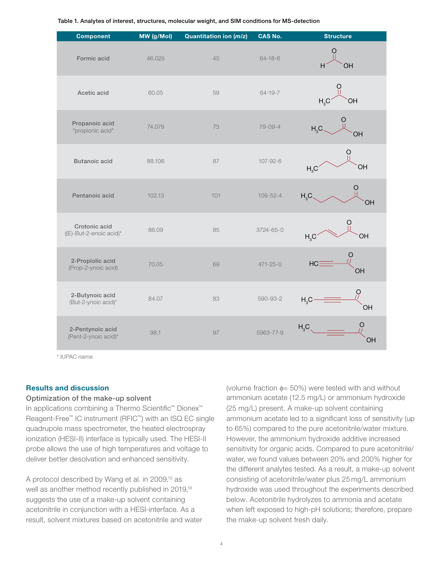Table 1. Analytes of interest, structures, molecular weight, and SIM conditions for MS-detection

| <b>Component</b>                         | MW (g/Mol) | Quantitation ion (m/z) | CAS No.        | <b>Structure</b>                    |
|------------------------------------------|------------|------------------------|----------------|-------------------------------------|
| Formic acid                              | 46.025     | 45                     | $64 - 18 - 6$  | OH<br>H                             |
| Acetic acid                              | 60.05      | 59                     | $64 - 19 - 7$  | H <sub>3</sub> C<br>OH              |
| Propanoic acid<br>"propionic acid"       | 74.079     | 73                     | $79 - 09 - 4$  | H <sub>3</sub> C<br>OH              |
| <b>Butanoic acid</b>                     | 88.106     | 87                     | 107-92-6       | O<br>OH<br>H <sub>3</sub> C         |
| Pentanoic acid                           | 102.13     | 101                    | $109 - 52 - 4$ | H <sub>3</sub> C<br>OН              |
| Crotonic acid<br>((E)-But-2-enoic acid)* | 86.09      | 85                     | 3724-65-0      | O<br>OH<br>H <sub>3</sub> C         |
| 2-Propiolic acid<br>(Prop-2-ynoic acid)  | 70.05      | 69                     | $471 - 25 - 0$ | HC <sub>i</sub><br>OH               |
| 2-Butynoic acid<br>(But-2-ynoic acid)*   | 84.07      | 83                     | 590-93-2       | O<br>H <sub>3</sub> C<br>OH         |
| 2-Pentynoic acid<br>(Pent-2-ynoic acid)* | 98.1       | 97                     | 5963-77-9      | H <sub>3</sub> C <sub>3</sub><br>OH |

\* IUPAC name

#### Results and discussion

#### Optimization of the make-up solvent

In applications combining a Thermo Scientific™ Dionex™ Reagent-Free™ IC instrument (RFIC™) with an ISQ EC single quadrupole mass spectrometer, the heated electrospray ionization (HESI-II) interface is typically used. The HESI-II probe allows the use of high temperatures and voltage to deliver better desolvation and enhanced sensitivity.

A protocol described by Wang et al. in 2009,<sup>15</sup> as well as another method recently published in 2019,16 suggests the use of a make-up solvent containing acetonitrile in conjunction with a HESI-interface. As a result, solvent mixtures based on acetonitrile and water (volume fraction  $\phi$  = 50%) were tested with and without ammonium acetate (12.5 mg/L) or ammonium hydroxide (25 mg/L) present. A make-up solvent containing ammonium acetate led to a significant loss of sensitivity (up to 65%) compared to the pure acetonitrile/water mixture. However, the ammonium hydroxide additive increased sensitivity for organic acids. Compared to pure acetonitrile/ water, we found values between 20% and 200% higher for the different analytes tested. As a result, a make-up solvent consisting of acetonitrile/water plus 25 mg/L ammonium hydroxide was used throughout the experiments described below. Acetonitrile hydrolyzes to ammonia and acetate when left exposed to high-pH solutions; therefore, prepare the make-up solvent fresh daily.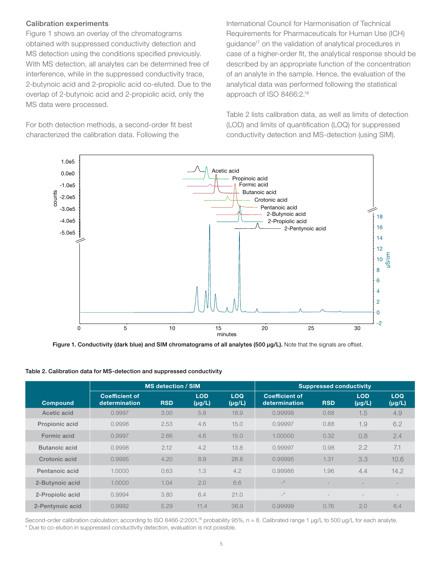# Calibration experiments

Figure 1 shows an overlay of the chromatograms obtained with suppressed conductivity detection and MS detection using the conditions specified previously. With MS detection, all analytes can be determined free of interference, while in the suppressed conductivity trace, 2-butynoic acid and 2-propiolic acid co-eluted. Due to the overlap of 2-butynoic acid and 2-propiolic acid, only the MS data were processed.

For both detection methods, a second-order fit best characterized the calibration data. Following the

International Council for Harmonisation of Technical Requirements for Pharmaceuticals for Human Use (ICH) guidance<sup>17</sup> on the validation of analytical procedures in case of a higher-order fit, the analytical response should be described by an appropriate function of the concentration of an analyte in the sample. Hence, the evaluation of the analytical data was performed following the statistical approach of ISO 8466:2.18

Table 2 lists calibration data, as well as limits of detection (LOD) and limits of quantification (LOQ) for suppressed conductivity detection and MS-detection (using SIM).



Figure 1. Conductivity (dark blue) and SIM chromatograms of all analytes (500 µg/L). Note that the signals are offset.

|                  | <b>MS detection / SIM</b>              | <b>Suppressed conductivity</b> |                           |                           |                                        |            |                           |                           |
|------------------|----------------------------------------|--------------------------------|---------------------------|---------------------------|----------------------------------------|------------|---------------------------|---------------------------|
| <b>Compound</b>  | <b>Coefficient of</b><br>determination | <b>RSD</b>                     | <b>LOD</b><br>$(\mu g/L)$ | <b>LOQ</b><br>$(\mu g/L)$ | <b>Coefficient of</b><br>determination | <b>RSD</b> | <b>LOD</b><br>$(\mu g/L)$ | <b>LOQ</b><br>$(\mu g/L)$ |
| Acetic acid      | 0.9997                                 | 3.00                           | 5.8                       | 18.9                      | 0.99998                                | 0.68       | 1.5                       | 4.9                       |
| Propionic acid   | 0.9998                                 | 2.53                           | 4.6                       | 15.0                      | 0.99997                                | 0.88       | 1.9                       | 6.2                       |
| Formic acid      | 0.9997                                 | 2.66                           | 4.6                       | 15.0                      | 1.00000                                | 0.32       | 0.8                       | 2.4                       |
| Butanoic acid    | 0.9998                                 | 2.12                           | 4.2                       | 13.8                      | 0.99997                                | 0.98       | 2.2                       | 7.1                       |
| Crotonic acid    | 0.9995                                 | 4.20                           | 8.9                       | 28.8                      | 0.99995                                | 1.31       | 3.3                       | 10.6                      |
| Pentanoic acid   | 1.0000                                 | 0.63                           | 1.3                       | 4.2                       | 0.99986                                | 1.96       | 4.4                       | 14.2                      |
| 2-Butynoic acid  | 1.0000                                 | 1.04                           | 2.0                       | 6.6                       | $\mathbf{r}$                           |            |                           |                           |
| 2-Propiolic acid | 0.9994                                 | 3.80                           | 6.4                       | 21.0                      | $\mathbf{r}^*$                         |            |                           |                           |
| 2-Pentynoic acid | 0.9992                                 | 5.29                           | 11.4                      | 36.9                      | 0.99999                                | 0.76       | 2.0                       | 6.4                       |

Table 2. Calibration data for MS-detection and suppressed conductivity

Second-order calibration calculation; according to ISO 8466-2:2001,<sup>18</sup> probability 95%, n = 8. Calibrated range 1 µg/L to 500 µg/L for each analyte. \* Due to co-elution in suppressed conductivity detection, evaluation is not possible.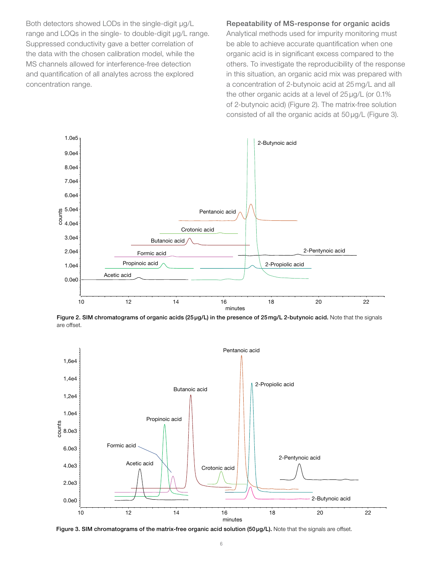Both detectors showed LODs in the single-digit µg/L range and LOQs in the single- to double-digit µg/L range. Suppressed conductivity gave a better correlation of the data with the chosen calibration model, while the MS channels allowed for interference-free detection and quantification of all analytes across the explored concentration range.

Repeatability of MS-response for organic acids Analytical methods used for impurity monitoring must be able to achieve accurate quantification when one organic acid is in significant excess compared to the others. To investigate the reproducibility of the response in this situation, an organic acid mix was prepared with a concentration of 2-butynoic acid at 25 mg/L and all the other organic acids at a level of 25 µg/L (or 0.1% of 2-butynoic acid) (Figure 2). The matrix-free solution consisted of all the organic acids at 50 µg/L (Figure 3).



Figure 2. SIM chromatograms of organic acids (25µg/L) in the presence of 25mg/L 2-butynoic acid. Note that the signals are offset.



Figure 3. SIM chromatograms of the matrix-free organic acid solution (50 µg/L). Note that the signals are offset.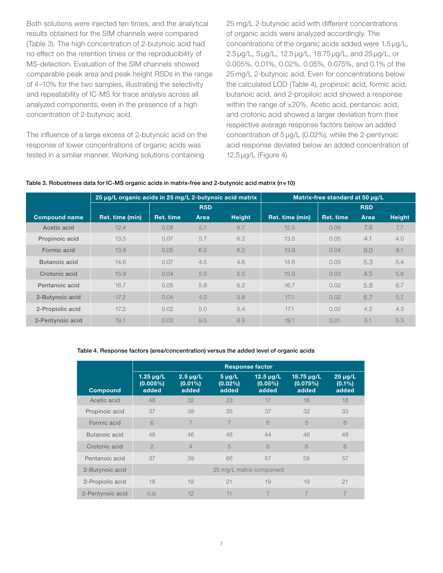Both solutions were injected ten times, and the analytical results obtained for the SIM channels were compared (Table 3). The high concentration of 2-butynoic acid had no effect on the retention times or the reproducibility of MS-detection. Evaluation of the SIM channels showed comparable peak area and peak height RSDs in the range of 4–10% for the two samples, illustrating the selectivity and repeatability of IC-MS for trace analysis across all analyzed components, even in the presence of a high concentration of 2-butynoic acid.

The influence of a large excess of 2-butynoic acid on the response of lower concentrations of organic acids was tested in a similar manner. Working solutions containing

25 mg/L 2-butynoic acid with different concentrations of organic acids were analyzed accordingly. The concentrations of the organic acids added were 1.5 µg/L, 2.5 µg/L, 5 µg/L, 12.5 µg/L, 18.75 µg/L, and 25 µg/L, or 0.005%, 0.01%, 0.02%, 0.05%, 0.075%, and 0.1% of the 25 mg/L 2-butynoic acid. Even for concentrations below the calculated LOD (Table 4), propinoic acid, formic acid, butanoic acid, and 2-propiloic acid showed a response within the range of ±20%. Acetic acid, pentanoic acid, and crotonic acid showed a larger deviation from their respective average response factors below an added concentration of 5 µg/L (0.02%), while the 2-pentynoic acid response deviated below an added concentration of 12.5 µg/L (Figure 4).

#### Table 3. Robustness data for IC-MS organic acids in matrix-free and 2-butynoic acid matrix (n=10)

|                      | 25 µg/L organic acids in 25 mg/L 2-butynoic acid matrix |            |      |               | Matrix-free standard at 50 µg/L |           |      |               |
|----------------------|---------------------------------------------------------|------------|------|---------------|---------------------------------|-----------|------|---------------|
|                      |                                                         | <b>RSD</b> |      |               | <b>RSD</b>                      |           |      |               |
| <b>Compound name</b> | Ret. time (min)                                         | Ret. time  | Area | <b>Height</b> | Ret. time (min)                 | Ret. time | Area | <b>Height</b> |
| Acetic acid          | 12.4                                                    | 0.08       | 5.7  | 6.7           | 12.5                            | 0.06      | 7.9  | 7.7           |
| Propinoic acid       | 13.5                                                    | 0.07       | 5.7  | 6.2           | 13.5                            | 0.05      | 4.1  | 4.0           |
| Formic acid          | 13.8                                                    | 0.05       | 6.2  | 6.2           | 13.9                            | 0.04      | 9.0  | 8.1           |
| Butanoic acid        | 14.6                                                    | 0.07       | 4.5  | 4.6           | 14.6                            | 0.05      | 5.3  | 5.4           |
| Crotonic acid        | 15.9                                                    | 0.04       | 5.5  | 5.5           | 15.9                            | 0.03      | 4.5  | 5.6           |
| Pentanoic acid       | 16.7                                                    | 0.05       | 5.8  | 6.2           | 16.7                            | 0.02      | 5.8  | 6.7           |
| 2-Butynoic acid      | 17.2                                                    | 0.04       | 4.0  | 3.8           | 17.1                            | 0.02      | 6.7  | 5.7           |
| 2-Propiolic acid     | 17.2                                                    | 0.02       | 5.0  | 5.4           | 17.1                            | 0.02      | 4.2  | 4.3           |
| 2-Pentynoic acid     | 19.1                                                    | 0.03       | 9.5  | 6.9           | 19.1                            | 0.01      | 5.1  | 5.3           |

#### Table 4. Response factors (area/concentration) versus the added level of organic acids

|                  | <b>Response factor</b>              |                                      |                                    |                                       |                                 |                                    |  |  |  |
|------------------|-------------------------------------|--------------------------------------|------------------------------------|---------------------------------------|---------------------------------|------------------------------------|--|--|--|
| <b>Compound</b>  | $1.25 \mu g/L$<br>(0.005%)<br>added | $2.5 \mu g/L$<br>$(0.01\%)$<br>added | $5 \mu g/L$<br>$(0.02\%)$<br>added | $12.5 \mu g/L$<br>$(0.05\%)$<br>added | 18.75 µg/L<br>(0.075%)<br>added | $25 \mu g/L$<br>$(0.1\%)$<br>added |  |  |  |
| Acetic acid      | 48                                  | 32                                   | 23                                 | 17                                    | 16                              | 18                                 |  |  |  |
| Propinoic acid   | 37                                  | 38                                   | 35                                 | 37                                    | 32                              | 33                                 |  |  |  |
| Formic acid      | 6                                   | 7                                    | 7                                  | 6                                     | 5                               | 6                                  |  |  |  |
| Butanoic acid    | 48                                  | 46                                   | 48                                 | 44                                    | 46                              | 48                                 |  |  |  |
| Crotonic acid    | $\mathfrak{D}$                      | $\overline{4}$                       | 5                                  | 6                                     | 6                               | 6                                  |  |  |  |
| Pentanoic acid   | 37                                  | 39                                   | 66                                 | 57                                    | 58                              | 57                                 |  |  |  |
| 2-Butynoic acid  | 25 mg/L matrix component            |                                      |                                    |                                       |                                 |                                    |  |  |  |
| 2-Propiolic acid | 18                                  | 19                                   | 21                                 | 19                                    | 19                              | 21                                 |  |  |  |
| 2-Pentynoic acid | n.d.                                | 12                                   | 11                                 |                                       | 7                               | 7                                  |  |  |  |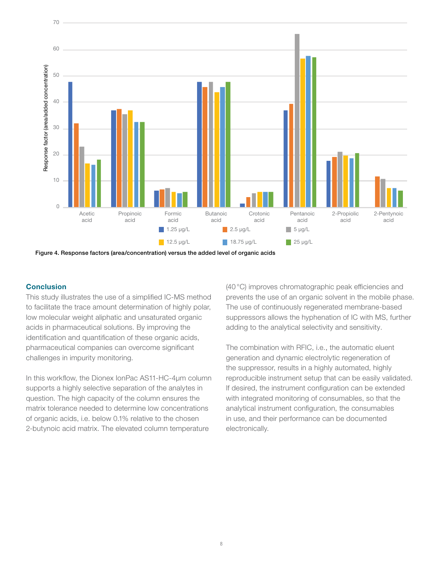

Figure 4. Response factors (area/concentration) versus the added level of organic acids

### **Conclusion**

This study illustrates the use of a simplified IC-MS method to facilitate the trace amount determination of highly polar, low molecular weight aliphatic and unsaturated organic acids in pharmaceutical solutions. By improving the identification and quantification of these organic acids, pharmaceutical companies can overcome significant challenges in impurity monitoring.

In this workflow, the Dionex IonPac AS11-HC-4µm column supports a highly selective separation of the analytes in question. The high capacity of the column ensures the matrix tolerance needed to determine low concentrations of organic acids, i.e. below 0.1% relative to the chosen 2-butynoic acid matrix. The elevated column temperature

(40°C) improves chromatographic peak efficiencies and prevents the use of an organic solvent in the mobile phase. The use of continuously regenerated membrane-based suppressors allows the hyphenation of IC with MS, further adding to the analytical selectivity and sensitivity.

The combination with RFIC, i.e., the automatic eluent generation and dynamic electrolytic regeneration of the suppressor, results in a highly automated, highly reproducible instrument setup that can be easily validated. If desired, the instrument configuration can be extended with integrated monitoring of consumables, so that the analytical instrument configuration, the consumables in use, and their performance can be documented electronically.